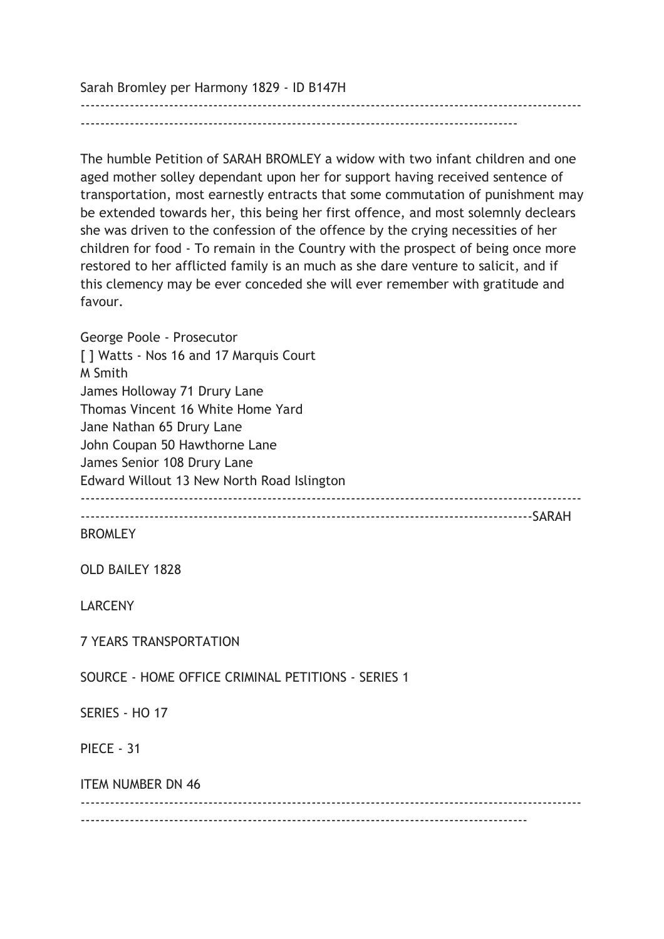Sarah Bromley per Harmony 1829 - ID B147H

------------------------------------------------------------------------------------------------------ -----------------------------------------------------------------------------------------

The humble Petition of SARAH BROMLEY a widow with two infant children and one aged mother solley dependant upon her for support having received sentence of transportation, most earnestly entracts that some commutation of punishment may be extended towards her, this being her first offence, and most solemnly declears she was driven to the confession of the offence by the crying necessities of her children for food - To remain in the Country with the prospect of being once more restored to her afflicted family is an much as she dare venture to salicit, and if this clemency may be ever conceded she will ever remember with gratitude and favour.

George Poole - Prosecutor [ ] Watts - Nos 16 and 17 Marquis Court M Smith James Holloway 71 Drury Lane Thomas Vincent 16 White Home Yard Jane Nathan 65 Drury Lane John Coupan 50 Hawthorne Lane James Senior 108 Drury Lane Edward Willout 13 New North Road Islington ------------------------------------------------------------------------------------------------------ --------------------------------------------------------------------------------------------SARAH BROMLEY OLD BAILEY 1828 LARCENY 7 YEARS TRANSPORTATION SOURCE - HOME OFFICE CRIMINAL PETITIONS - SERIES 1 SERIES - HO 17 PIFCF - 31 ITEM NUMBER DN 46 ------------------------------------------------------------------------------------------------------ -------------------------------------------------------------------------------------------